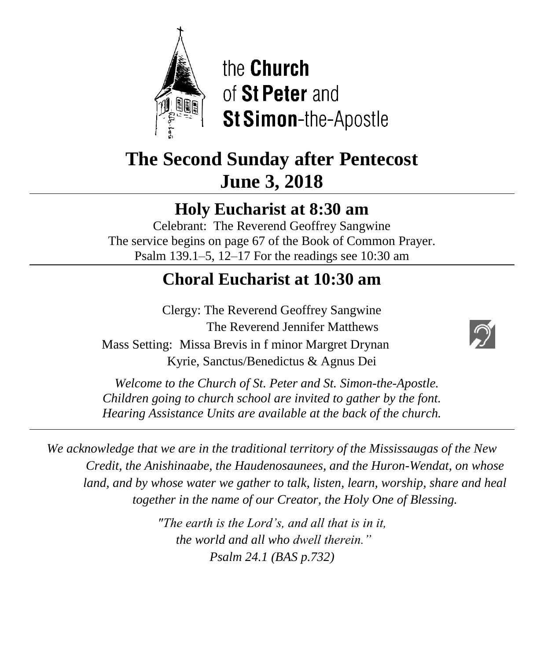

the **Church** of St Peter and St Simon-the-Apostle

# **The Second Sunday after Pentecost June 3, 2018**

# **Holy Eucharist at 8:30 am**

Celebrant: The Reverend Geoffrey Sangwine The service begins on page 67 of the Book of Common Prayer. Psalm 139.1–5, 12–17 For the readings see 10:30 am

# **Choral Eucharist at 10:30 am**

Clergy: The Reverend Geoffrey Sangwine The Reverend Jennifer Matthews Mass Setting: Missa Brevis in f minor Margret Drynan Kyrie, Sanctus/Benedictus & Agnus Dei Ĩ



 *Welcome to the Church of St. Peter and St. Simon-the-Apostle. Children going to church school are invited to gather by the font. Hearing Assistance Units are available at the back of the church.*

*We acknowledge that we are in the traditional territory of the Mississaugas of the New Credit, the Anishinaabe, the Haudenosaunees, and the Huron-Wendat, on whose land, and by whose water we gather to talk, listen, learn, worship, share and heal together in the name of our Creator, the Holy One of Blessing.*

> *"The earth is the Lord's, and all that is in it, the world and all who dwell therein." Psalm 24.1 (BAS p.732)*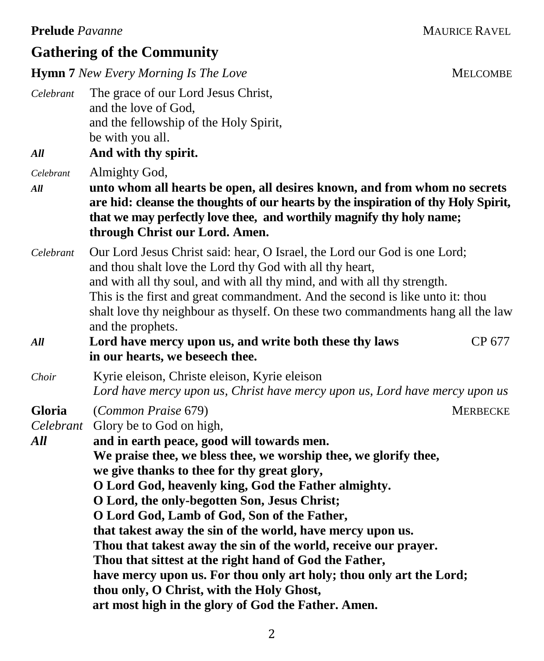# **Gathering of the Community**

**Hymn 7** *New Every Morning Is The Love* **MELCOMBE** 

*Celebrant* The grace of our Lord Jesus Christ, and the love of God, and the fellowship of the Holy Spirit, be with you all.

*All* **And with thy spirit.**

*Celebrant* Almighty God,

- *All* **unto whom all hearts be open, all desires known, and from whom no secrets are hid: cleanse the thoughts of our hearts by the inspiration of thy Holy Spirit, that we may perfectly love thee, and worthily magnify thy holy name; through Christ our Lord. Amen.**
- *Celebrant* Our Lord Jesus Christ said: hear, O Israel, the Lord our God is one Lord; and thou shalt love the Lord thy God with all thy heart, and with all thy soul, and with all thy mind, and with all thy strength. This is the first and great commandment. And the second is like unto it: thou shalt love thy neighbour as thyself. On these two commandments hang all the law and the prophets.
- All **Lord have mercy upon us, and write both these thy laws** CP 677 **in our hearts, we beseech thee.**
- *Choir* Kyrie eleison, Christe eleison, Kyrie eleison *Lord have mercy upon us, Christ have mercy upon us, Lord have mercy upon us*

**Gloria** (*Common Praise* 679) MERBECKE

*Celebrant* Glory be to God on high,

*All* **and in earth peace, good will towards men. We praise thee, we bless thee, we worship thee, we glorify thee, we give thanks to thee for thy great glory, O Lord God, heavenly king, God the Father almighty. O Lord, the only-begotten Son, Jesus Christ; O Lord God, Lamb of God, Son of the Father, that takest away the sin of the world, have mercy upon us. Thou that takest away the sin of the world, receive our prayer. Thou that sittest at the right hand of God the Father, have mercy upon us. For thou only art holy; thou only art the Lord; thou only, O Christ, with the Holy Ghost, art most high in the glory of God the Father. Amen.**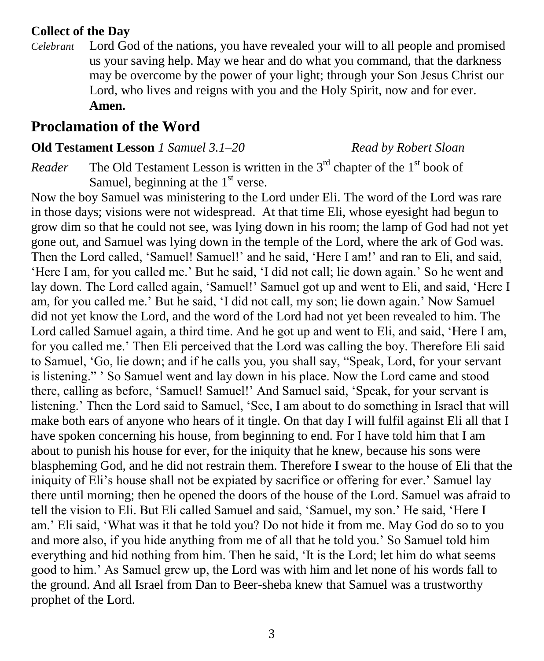### **Collect of the Day**

*Celebrant* Lord God of the nations, you have revealed your will to all people and promised us your saving help. May we hear and do what you command, that the darkness may be overcome by the power of your light; through your Son Jesus Christ our Lord, who lives and reigns with you and the Holy Spirit, now and for ever. **Amen.**

# **Proclamation of the Word**

#### **Old Testament Lesson** *1 Samuel 3.1–20**Read by Robert Sloan*

*Reader* The Old Testament Lesson is written in the 3<sup>rd</sup> chapter of the 1<sup>st</sup> book of Samuel, beginning at the  $1<sup>st</sup>$  verse.

Now the boy Samuel was ministering to the Lord under Eli. The word of the Lord was rare in those days; visions were not widespread. At that time Eli, whose eyesight had begun to grow dim so that he could not see, was lying down in his room; the lamp of God had not yet gone out, and Samuel was lying down in the temple of the Lord, where the ark of God was. Then the Lord called, 'Samuel! Samuel!' and he said, 'Here I am!' and ran to Eli, and said, 'Here I am, for you called me.' But he said, 'I did not call; lie down again.' So he went and lay down. The Lord called again, 'Samuel!' Samuel got up and went to Eli, and said, 'Here I am, for you called me.' But he said, 'I did not call, my son; lie down again.' Now Samuel did not yet know the Lord, and the word of the Lord had not yet been revealed to him. The Lord called Samuel again, a third time. And he got up and went to Eli, and said, 'Here I am, for you called me.' Then Eli perceived that the Lord was calling the boy. Therefore Eli said to Samuel, 'Go, lie down; and if he calls you, you shall say, "Speak, Lord, for your servant is listening." ' So Samuel went and lay down in his place. Now the Lord came and stood there, calling as before, 'Samuel! Samuel!' And Samuel said, 'Speak, for your servant is listening.' Then the Lord said to Samuel, 'See, I am about to do something in Israel that will make both ears of anyone who hears of it tingle. On that day I will fulfil against Eli all that I have spoken concerning his house, from beginning to end. For I have told him that I am about to punish his house for ever, for the iniquity that he knew, because his sons were blaspheming God, and he did not restrain them. Therefore I swear to the house of Eli that the iniquity of Eli's house shall not be expiated by sacrifice or offering for ever.' Samuel lay there until morning; then he opened the doors of the house of the Lord. Samuel was afraid to tell the vision to Eli. But Eli called Samuel and said, 'Samuel, my son.' He said, 'Here I am.' Eli said, 'What was it that he told you? Do not hide it from me. May God do so to you and more also, if you hide anything from me of all that he told you.' So Samuel told him everything and hid nothing from him. Then he said, 'It is the Lord; let him do what seems good to him.' As Samuel grew up, the Lord was with him and let none of his words fall to the ground. And all Israel from Dan to Beer-sheba knew that Samuel was a trustworthy prophet of the Lord.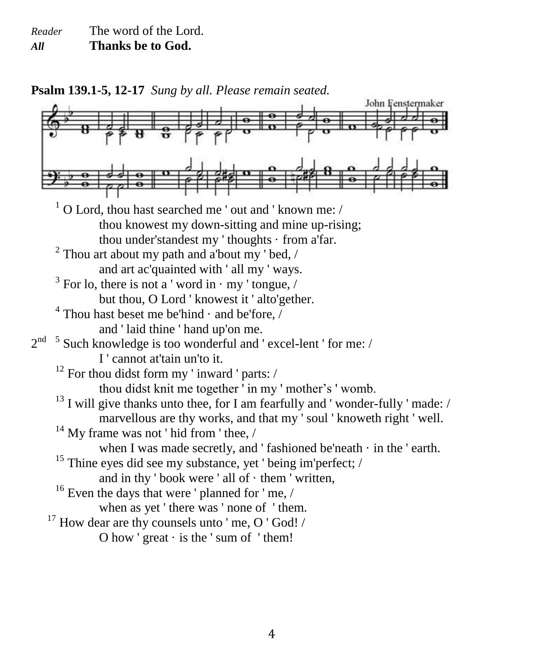*Reader* The word of the Lord. *All* **Thanks be to God.**

**Psalm 139.1-5, 12-17** *Sung by all. Please remain seated.*

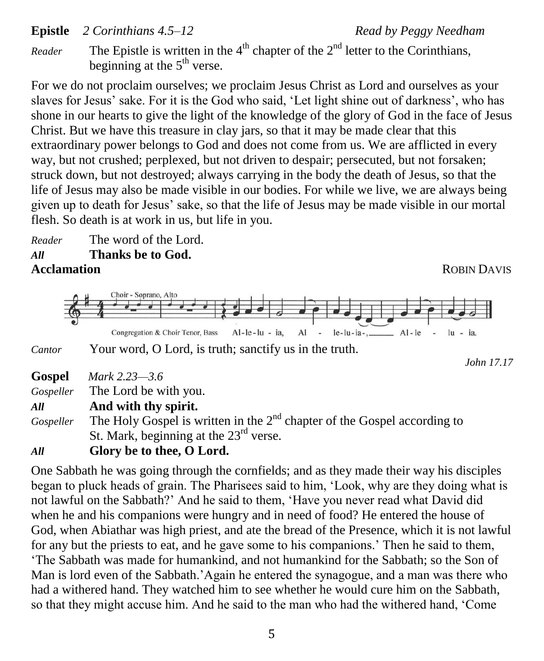# **Epistle** 2 Corinthians 4.5–12 Read by Peggy Needham

*Reader* The Epistle is written in the  $4<sup>th</sup>$  chapter of the  $2<sup>nd</sup>$  letter to the Corinthians, beginning at the  $5<sup>th</sup>$  verse.

For we do not proclaim ourselves; we proclaim Jesus Christ as Lord and ourselves as your slaves for Jesus' sake. For it is the God who said, 'Let light shine out of darkness', who has shone in our hearts to give the light of the knowledge of the glory of God in the face of Jesus Christ. But we have this treasure in clay jars, so that it may be made clear that this extraordinary power belongs to God and does not come from us. We are afflicted in every way, but not crushed; perplexed, but not driven to despair; persecuted, but not forsaken; struck down, but not destroyed; always carrying in the body the death of Jesus, so that the life of Jesus may also be made visible in our bodies. For while we live, we are always being given up to death for Jesus' sake, so that the life of Jesus may be made visible in our mortal flesh. So death is at work in us, but life in you.

*Reader* The word of the Lord. *All* **Thanks be to God. Acclamation** ROBIN DAVIS

*John 17.17*



*Cantor* Your word, O Lord, is truth; sanctify us in the truth.

*Gospeller* The Lord be with you.

*All* **And with thy spirit.**

Gospeller The Holy Gospel is written in the 2<sup>nd</sup> chapter of the Gospel according to St. Mark, beginning at the  $23<sup>rd</sup>$  verse.

## *All* **Glory be to thee, O Lord.**

One Sabbath he was going through the cornfields; and as they made their way his disciples began to pluck heads of grain. The Pharisees said to him, 'Look, why are they doing what is not lawful on the Sabbath?' And he said to them, 'Have you never read what David did when he and his companions were hungry and in need of food? He entered the house of God, when Abiathar was high priest, and ate the bread of the Presence, which it is not lawful for any but the priests to eat, and he gave some to his companions.' Then he said to them, 'The Sabbath was made for humankind, and not humankind for the Sabbath; so the Son of Man is lord even of the Sabbath.'Again he entered the synagogue, and a man was there who had a withered hand. They watched him to see whether he would cure him on the Sabbath, so that they might accuse him. And he said to the man who had the withered hand, 'Come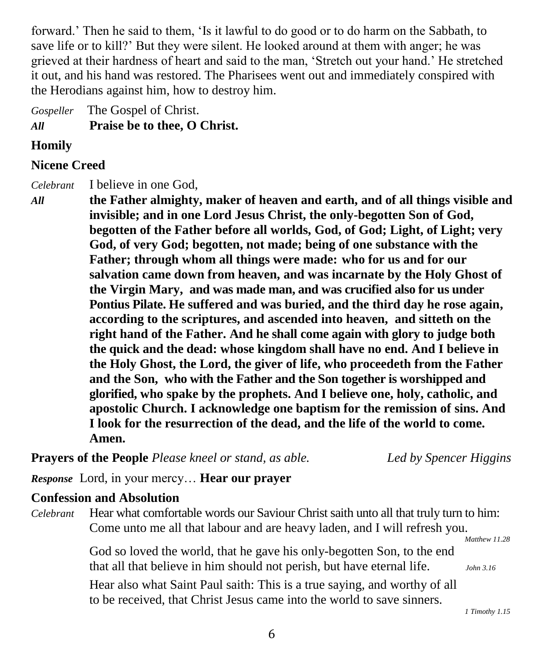forward.' Then he said to them, 'Is it lawful to do good or to do harm on the Sabbath, to save life or to kill?' But they were silent. He looked around at them with anger; he was grieved at their hardness of heart and said to the man, 'Stretch out your hand.' He stretched it out, and his hand was restored. The Pharisees went out and immediately conspired with the Herodians against him, how to destroy him.

*Gospeller* The Gospel of Christ. *All* **Praise be to thee, O Christ.**

**Homily**

## **Nicene Creed**

*Celebrant* I believe in one God,

*All* **the Father almighty, maker of heaven and earth, and of all things visible and invisible; and in one Lord Jesus Christ, the only-begotten Son of God, begotten of the Father before all worlds, God, of God; Light, of Light; very God, of very God; begotten, not made; being of one substance with the Father; through whom all things were made: who for us and for our salvation came down from heaven, and was incarnate by the Holy Ghost of the Virgin Mary, and was made man, and was crucified also for us under Pontius Pilate. He suffered and was buried, and the third day he rose again, according to the scriptures, and ascended into heaven, and sitteth on the right hand of the Father. And he shall come again with glory to judge both the quick and the dead: whose kingdom shall have no end. And I believe in the Holy Ghost, the Lord, the giver of life, who proceedeth from the Father and the Son, who with the Father and the Son together is worshipped and glorified, who spake by the prophets. And I believe one, holy, catholic, and apostolic Church. I acknowledge one baptism for the remission of sins. And I look for the resurrection of the dead, and the life of the world to come. Amen.**

**Prayers of the People** *Please kneel or stand, as able. Led by Spencer Higgins*

*Response* Lord, in your mercy… **Hear our prayer**

### **Confession and Absolution**

*Celebrant* Hear what comfortable words our Saviour Christ saith unto all that truly turn to him: Come unto me all that labour and are heavy laden, and I will refresh you.

 *Matthew 11.28*

God so loved the world, that he gave his only-begotten Son, to the end that all that believe in him should not perish, but have eternal life. *John 3.16*

Hear also what Saint Paul saith: This is a true saying, and worthy of all to be received, that Christ Jesus came into the world to save sinners.

*1 Timothy 1.15*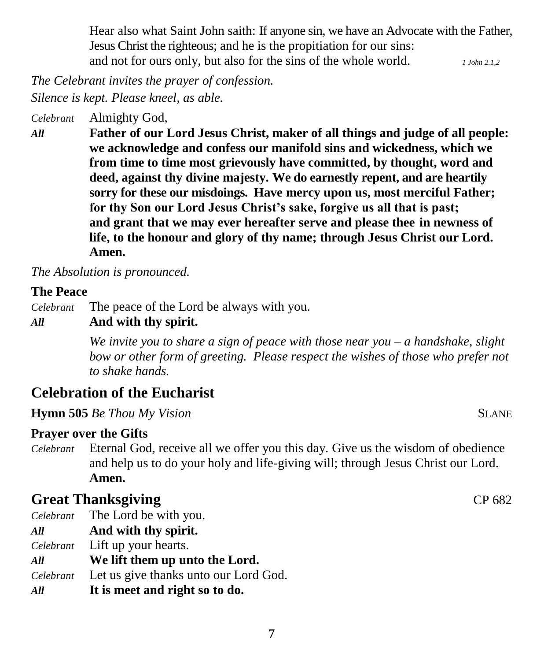Hear also what Saint John saith: If anyone sin, we have an Advocate with the Father, Jesus Christ the righteous; and he is the propitiation for our sins: and not for ours only, but also for the sins of the whole world. *1 John 2.1,2*

*The Celebrant invites the prayer of confession. Silence is kept. Please kneel, as able.*

*Celebrant* Almighty God,

*All* **Father of our Lord Jesus Christ, maker of all things and judge of all people: we acknowledge and confess our manifold sins and wickedness, which we from time to time most grievously have committed, by thought, word and deed, against thy divine majesty. We do earnestly repent, and are heartily sorry for these our misdoings. Have mercy upon us, most merciful Father; for thy Son our Lord Jesus Christ's sake, forgive us all that is past; and grant that we may ever hereafter serve and please thee in newness of life, to the honour and glory of thy name; through Jesus Christ our Lord. Amen.**

*The Absolution is pronounced.*

### **The Peace**

*Celebrant* The peace of the Lord be always with you.

*All* **And with thy spirit.**

*We invite you to share a sign of peace with those near you – a handshake, slight bow or other form of greeting. Please respect the wishes of those who prefer not to shake hands.*

# **Celebration of the Eucharist**

**Hymn 505** *Be Thou My Vision* **SLANE** *SLANE* 

### **Prayer over the Gifts**

*Celebrant* Eternal God, receive all we offer you this day. Give us the wisdom of obedience and help us to do your holy and life-giving will; through Jesus Christ our Lord. **Amen.**

# **Great Thanksgiving CP 682**

- *Celebrant* The Lord be with you.
- *All* **And with thy spirit.**
- *Celebrant* Lift up your hearts.
- *All* **We lift them up unto the Lord.**
- *Celebrant* Let us give thanks unto our Lord God.
- *All* **It is meet and right so to do.**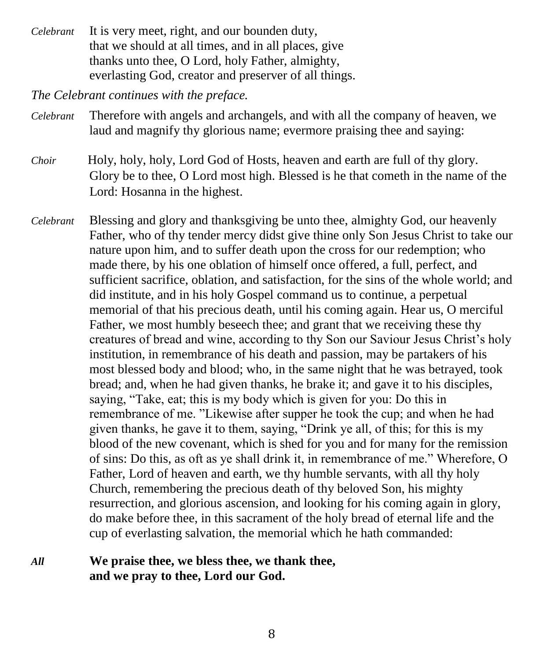*Celebrant* It is very meet, right, and our bounden duty, that we should at all times, and in all places, give thanks unto thee, O Lord, holy Father, almighty, everlasting God, creator and preserver of all things.

*The Celebrant continues with the preface.* 

- *Celebrant* Therefore with angels and archangels, and with all the company of heaven, we laud and magnify thy glorious name; evermore praising thee and saying:
- *Choir* Holy, holy, holy, Lord God of Hosts, heaven and earth are full of thy glory. Glory be to thee, O Lord most high. Blessed is he that cometh in the name of the Lord: Hosanna in the highest.
- *Celebrant* Blessing and glory and thanksgiving be unto thee, almighty God, our heavenly Father, who of thy tender mercy didst give thine only Son Jesus Christ to take our nature upon him, and to suffer death upon the cross for our redemption; who made there, by his one oblation of himself once offered, a full, perfect, and sufficient sacrifice, oblation, and satisfaction, for the sins of the whole world; and did institute, and in his holy Gospel command us to continue, a perpetual memorial of that his precious death, until his coming again. Hear us, O merciful Father, we most humbly beseech thee; and grant that we receiving these thy creatures of bread and wine, according to thy Son our Saviour Jesus Christ's holy institution, in remembrance of his death and passion, may be partakers of his most blessed body and blood; who, in the same night that he was betrayed, took bread; and, when he had given thanks, he brake it; and gave it to his disciples, saying, "Take, eat; this is my body which is given for you: Do this in remembrance of me. "Likewise after supper he took the cup; and when he had given thanks, he gave it to them, saying, "Drink ye all, of this; for this is my blood of the new covenant, which is shed for you and for many for the remission of sins: Do this, as oft as ye shall drink it, in remembrance of me." Wherefore, O Father, Lord of heaven and earth, we thy humble servants, with all thy holy Church, remembering the precious death of thy beloved Son, his mighty resurrection, and glorious ascension, and looking for his coming again in glory, do make before thee, in this sacrament of the holy bread of eternal life and the cup of everlasting salvation, the memorial which he hath commanded:

### *All* **We praise thee, we bless thee, we thank thee, and we pray to thee, Lord our God.**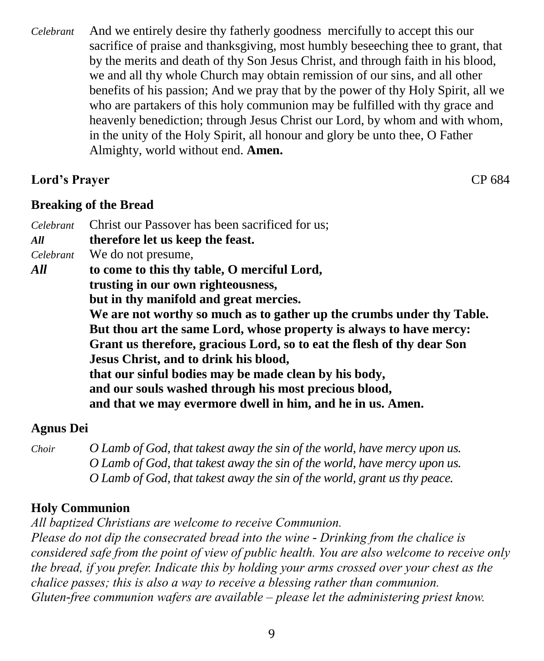*Celebrant* And we entirely desire thy fatherly goodness mercifully to accept this our sacrifice of praise and thanksgiving, most humbly beseeching thee to grant, that by the merits and death of thy Son Jesus Christ, and through faith in his blood, we and all thy whole Church may obtain remission of our sins, and all other benefits of his passion; And we pray that by the power of thy Holy Spirit, all we who are partakers of this holy communion may be fulfilled with thy grace and heavenly benediction; through Jesus Christ our Lord, by whom and with whom, in the unity of the Holy Spirit, all honour and glory be unto thee, O Father Almighty, world without end. **Amen.**

# **Lord's Prayer** CP 684

# **Breaking of the Bread**

*Celebrant* Christ our Passover has been sacrificed for us; *All* **therefore let us keep the feast.** *Celebrant* We do not presume, *All* **to come to this thy table, O merciful Lord, trusting in our own righteousness, but in thy manifold and great mercies. We are not worthy so much as to gather up the crumbs under thy Table. But thou art the same Lord, whose property is always to have mercy: Grant us therefore, gracious Lord, so to eat the flesh of thy dear Son Jesus Christ, and to drink his blood, that our sinful bodies may be made clean by his body, and our souls washed through his most precious blood, and that we may evermore dwell in him, and he in us. Amen.**

# **Agnus Dei**

*Choir O Lamb of God, that takest away the sin of the world, have mercy upon us. O Lamb of God, that takest away the sin of the world, have mercy upon us. O Lamb of God, that takest away the sin of the world, grant us thy peace.*

# **Holy Communion**

*All baptized Christians are welcome to receive Communion. Please do not dip the consecrated bread into the wine - Drinking from the chalice is considered safe from the point of view of public health. You are also welcome to receive only the bread, if you prefer. Indicate this by holding your arms crossed over your chest as the chalice passes; this is also a way to receive a blessing rather than communion. Gluten-free communion wafers are available – please let the administering priest know.*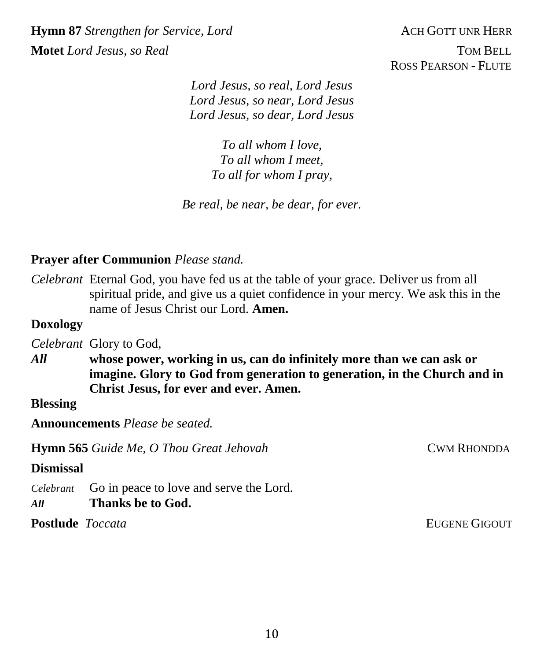**Hymn 87** *Strengthen for Service, Lord* ACH GOTT UNR HERR **Motet** *Lord Jesus, so Real* **TOM BELL** 

ROSS PEARSON - FLUTE

*Lord Jesus, so real, Lord Jesus Lord Jesus, so near, Lord Jesus Lord Jesus, so dear, Lord Jesus*

> *To all whom I love, To all whom I meet, To all for whom I pray,*

*Be real, be near, be dear, for ever.*

#### **Prayer after Communion** *Please stand.*

*Celebrant* Eternal God, you have fed us at the table of your grace. Deliver us from all spiritual pride, and give us a quiet confidence in your mercy. We ask this in the name of Jesus Christ our Lord. **Amen.**

#### **Doxology**

*Celebrant* Glory to God,

*All* **whose power, working in us, can do infinitely more than we can ask or imagine. Glory to God from generation to generation, in the Church and in Christ Jesus, for ever and ever. Amen.**

### **Blessing**

**Announcements** *Please be seated.*

**Hymn 565** *Guide Me, O Thou Great Jehovah* CWM RHONDDA

#### **Dismissal**

*Celebrant* Go in peace to love and serve the Lord. *All* **Thanks be to God.** 

**Postlude** *Toccata* **EUGENE GIGOUT**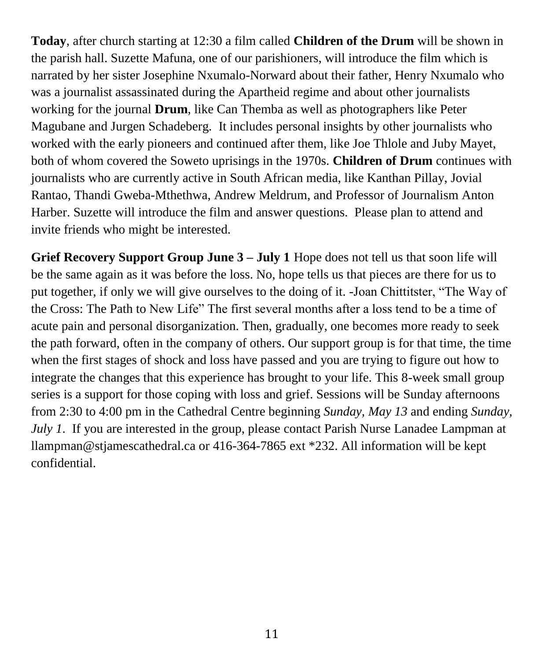**Today**, after church starting at 12:30 a film called **Children of the Drum** will be shown in the parish hall. Suzette Mafuna, one of our parishioners, will introduce the film which is narrated by her sister Josephine Nxumalo-Norward about their father, Henry Nxumalo who was a journalist assassinated during the Apartheid regime and about other journalists working for the journal **Drum**, like Can Themba as well as photographers like Peter Magubane and Jurgen Schadeberg. It includes personal insights by other journalists who worked with the early pioneers and continued after them, like Joe Thlole and Juby Mayet, both of whom covered the Soweto uprisings in the 1970s. **Children of Drum** continues with journalists who are currently active in South African media, like Kanthan Pillay, Jovial Rantao, Thandi Gweba-Mthethwa, Andrew Meldrum, and Professor of Journalism Anton Harber. Suzette will introduce the film and answer questions. Please plan to attend and invite friends who might be interested.

**Grief Recovery Support Group June 3 – July 1** Hope does not tell us that soon life will be the same again as it was before the loss. No, hope tells us that pieces are there for us to put together, if only we will give ourselves to the doing of it. -Joan Chittitster, "The Way of the Cross: The Path to New Life" The first several months after a loss tend to be a time of acute pain and personal disorganization. Then, gradually, one becomes more ready to seek the path forward, often in the company of others. Our support group is for that time, the time when the first stages of shock and loss have passed and you are trying to figure out how to integrate the changes that this experience has brought to your life. This 8-week small group series is a support for those coping with loss and grief. Sessions will be Sunday afternoons from 2:30 to 4:00 pm in the Cathedral Centre beginning *Sunday, May 13* and ending *Sunday, July 1.* If you are interested in the group, please contact Parish Nurse Lanadee Lampman at llampman@stjamescathedral.ca or 416-364-7865 ext \*232. All information will be kept confidential.